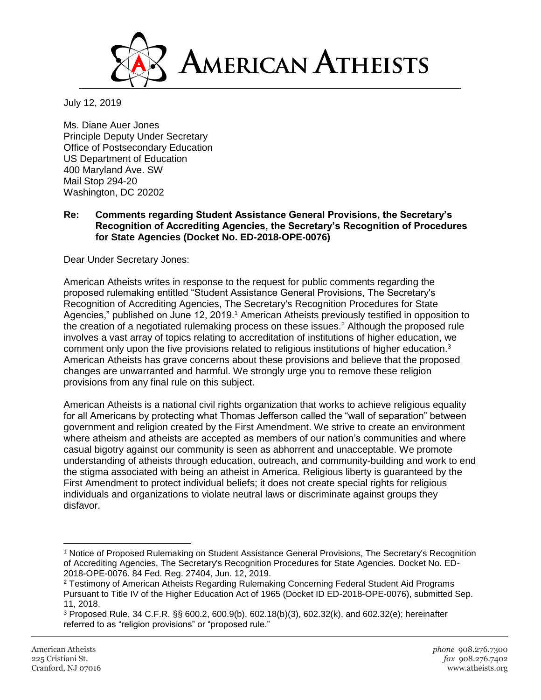

July 12, 2019

Ms. Diane Auer Jones Principle Deputy Under Secretary Office of Postsecondary Education US Department of Education 400 Maryland Ave. SW Mail Stop 294-20 Washington, DC 20202

**Re: Comments regarding Student Assistance General Provisions, the Secretary's Recognition of Accrediting Agencies, the Secretary's Recognition of Procedures for State Agencies (Docket No. ED-2018-OPE-0076)**

Dear Under Secretary Jones:

American Atheists writes in response to the request for public comments regarding the proposed rulemaking entitled "Student Assistance General Provisions, The Secretary's Recognition of Accrediting Agencies, The Secretary's Recognition Procedures for State Agencies," published on June 12, 2019.<sup>1</sup> American Atheists previously testified in opposition to the creation of a negotiated rulemaking process on these issues.<sup>2</sup> Although the proposed rule involves a vast array of topics relating to accreditation of institutions of higher education, we comment only upon the five provisions related to religious institutions of higher education.<sup>3</sup> American Atheists has grave concerns about these provisions and believe that the proposed changes are unwarranted and harmful. We strongly urge you to remove these religion provisions from any final rule on this subject.

American Atheists is a national civil rights organization that works to achieve religious equality for all Americans by protecting what Thomas Jefferson called the "wall of separation" between government and religion created by the First Amendment. We strive to create an environment where atheism and atheists are accepted as members of our nation's communities and where casual bigotry against our community is seen as abhorrent and unacceptable. We promote understanding of atheists through education, outreach, and community-building and work to end the stigma associated with being an atheist in America. Religious liberty is guaranteed by the First Amendment to protect individual beliefs; it does not create special rights for religious individuals and organizations to violate neutral laws or discriminate against groups they disfavor.

 $\overline{\phantom{a}}$ 

<sup>1</sup> Notice of Proposed Rulemaking on Student Assistance General Provisions, The Secretary's Recognition of Accrediting Agencies, The Secretary's Recognition Procedures for State Agencies. Docket No. ED-2018-OPE-0076. 84 Fed. Reg. 27404, Jun. 12, 2019.

<sup>&</sup>lt;sup>2</sup> Testimony of American Atheists Regarding Rulemaking Concerning Federal Student Aid Programs Pursuant to Title IV of the Higher Education Act of 1965 (Docket ID ED-2018-OPE-0076), submitted Sep. 11, 2018.

<sup>3</sup> Proposed Rule, 34 C.F.R. §§ 600.2, 600.9(b), 602.18(b)(3), 602.32(k), and 602.32(e); hereinafter referred to as "religion provisions" or "proposed rule."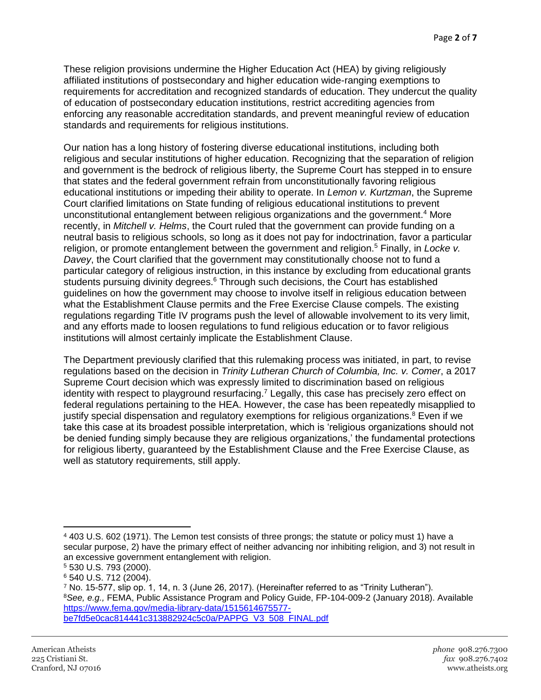These religion provisions undermine the Higher Education Act (HEA) by giving religiously affiliated institutions of postsecondary and higher education wide-ranging exemptions to requirements for accreditation and recognized standards of education. They undercut the quality of education of postsecondary education institutions, restrict accrediting agencies from enforcing any reasonable accreditation standards, and prevent meaningful review of education standards and requirements for religious institutions.

Our nation has a long history of fostering diverse educational institutions, including both religious and secular institutions of higher education. Recognizing that the separation of religion and government is the bedrock of religious liberty, the Supreme Court has stepped in to ensure that states and the federal government refrain from unconstitutionally favoring religious educational institutions or impeding their ability to operate. In *Lemon v. Kurtzman*, the Supreme Court clarified limitations on State funding of religious educational institutions to prevent unconstitutional entanglement between religious organizations and the government.<sup>4</sup> More recently, in *Mitchell v. Helms*, the Court ruled that the government can provide funding on a neutral basis to religious schools, so long as it does not pay for indoctrination, favor a particular religion, or promote entanglement between the government and religion.<sup>5</sup> Finally, in *Locke v. Davey*, the Court clarified that the government may constitutionally choose not to fund a particular category of religious instruction, in this instance by excluding from educational grants students pursuing divinity degrees.<sup>6</sup> Through such decisions, the Court has established guidelines on how the government may choose to involve itself in religious education between what the Establishment Clause permits and the Free Exercise Clause compels. The existing regulations regarding Title IV programs push the level of allowable involvement to its very limit, and any efforts made to loosen regulations to fund religious education or to favor religious institutions will almost certainly implicate the Establishment Clause.

The Department previously clarified that this rulemaking process was initiated, in part, to revise regulations based on the decision in *Trinity Lutheran Church of Columbia, Inc. v. Comer*, a 2017 Supreme Court decision which was expressly limited to discrimination based on religious identity with respect to playground resurfacing.<sup>7</sup> Legally, this case has precisely zero effect on federal regulations pertaining to the HEA. However, the case has been repeatedly misapplied to justify special dispensation and regulatory exemptions for religious organizations.<sup>8</sup> Even if we take this case at its broadest possible interpretation, which is 'religious organizations should not be denied funding simply because they are religious organizations,' the fundamental protections for religious liberty, guaranteed by the Establishment Clause and the Free Exercise Clause, as well as statutory requirements, still apply.

 $\overline{a}$ <sup>4</sup> 403 U.S. 602 (1971). The Lemon test consists of three prongs; the statute or policy must 1) have a secular purpose, 2) have the primary effect of neither advancing nor inhibiting religion, and 3) not result in an excessive government entanglement with religion.

<sup>5</sup> 530 U.S. 793 (2000).

<sup>6</sup> 540 U.S. 712 (2004).

<sup>7</sup> No. 15-577, slip op. 1, 14, n. 3 (June 26, 2017). (Hereinafter referred to as "Trinity Lutheran"). <sup>8</sup>*See, e.g.,* FEMA, Public Assistance Program and Policy Guide, FP-104-009-2 (January 2018). Available [https://www.fema.gov/media-library-data/1515614675577](https://www.fema.gov/media-library-data/1515614675577-be7fd5e0cac814441c313882924c5c0a/PAPPG_V3_508_FINAL.pdf) [be7fd5e0cac814441c313882924c5c0a/PAPPG\\_V3\\_508\\_FINAL.pdf](https://www.fema.gov/media-library-data/1515614675577-be7fd5e0cac814441c313882924c5c0a/PAPPG_V3_508_FINAL.pdf)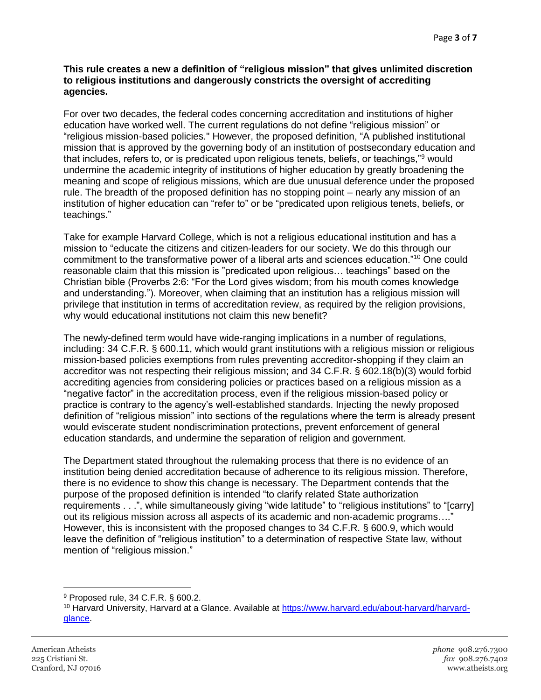#### **This rule creates a new a definition of "religious mission" that gives unlimited discretion to religious institutions and dangerously constricts the oversight of accrediting agencies.**

For over two decades, the federal codes concerning accreditation and institutions of higher education have worked well. The current regulations do not define "religious mission" or "religious mission-based policies." However, the proposed definition, "A published institutional mission that is approved by the governing body of an institution of postsecondary education and that includes, refers to, or is predicated upon religious tenets, beliefs, or teachings,"<sup>9</sup> would undermine the academic integrity of institutions of higher education by greatly broadening the meaning and scope of religious missions, which are due unusual deference under the proposed rule. The breadth of the proposed definition has no stopping point – nearly any mission of an institution of higher education can "refer to" or be "predicated upon religious tenets, beliefs, or teachings."

Take for example Harvard College, which is not a religious educational institution and has a mission to "educate the citizens and citizen-leaders for our society. We do this through our commitment to the transformative power of a liberal arts and sciences education."<sup>10</sup> One could reasonable claim that this mission is "predicated upon religious… teachings" based on the Christian bible (Proverbs 2:6: "For the Lord gives wisdom; from his mouth comes knowledge and understanding."). Moreover, when claiming that an institution has a religious mission will privilege that institution in terms of accreditation review, as required by the religion provisions, why would educational institutions not claim this new benefit?

The newly-defined term would have wide-ranging implications in a number of regulations, including: 34 C.F.R. § 600.11, which would grant institutions with a religious mission or religious mission-based policies exemptions from rules preventing accreditor-shopping if they claim an accreditor was not respecting their religious mission; and 34 C.F.R. § 602.18(b)(3) would forbid accrediting agencies from considering policies or practices based on a religious mission as a "negative factor" in the accreditation process, even if the religious mission-based policy or practice is contrary to the agency's well-established standards. Injecting the newly proposed definition of "religious mission" into sections of the regulations where the term is already present would eviscerate student nondiscrimination protections, prevent enforcement of general education standards, and undermine the separation of religion and government.

The Department stated throughout the rulemaking process that there is no evidence of an institution being denied accreditation because of adherence to its religious mission. Therefore, there is no evidence to show this change is necessary. The Department contends that the purpose of the proposed definition is intended "to clarify related State authorization requirements . . .", while simultaneously giving "wide latitude" to "religious institutions" to "[carry] out its religious mission across all aspects of its academic and non-academic programs…." However, this is inconsistent with the proposed changes to 34 C.F.R. § 600.9, which would leave the definition of "religious institution" to a determination of respective State law, without mention of "religious mission."

 $\overline{a}$ <sup>9</sup> Proposed rule, 34 C.F.R. § 600.2.

<sup>&</sup>lt;sup>10</sup> Harvard University, Harvard at a Glance. Available at [https://www.harvard.edu/about-harvard/harvard](https://www.harvard.edu/about-harvard/harvard-glance)[glance.](https://www.harvard.edu/about-harvard/harvard-glance)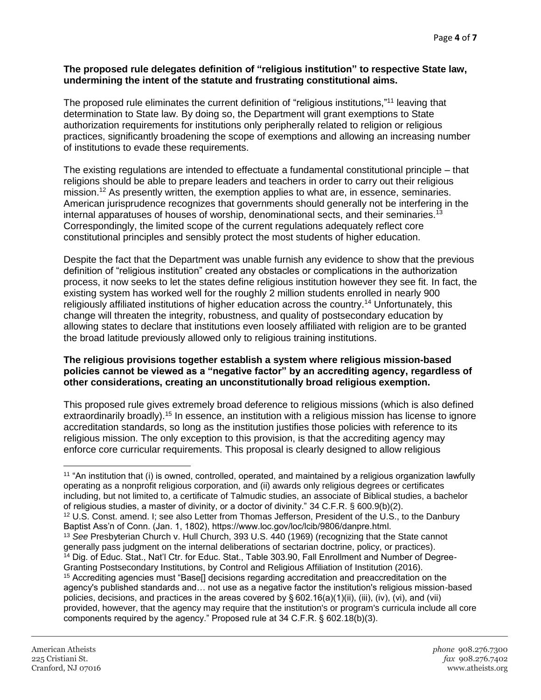#### **The proposed rule delegates definition of "religious institution" to respective State law, undermining the intent of the statute and frustrating constitutional aims.**

The proposed rule eliminates the current definition of "religious institutions,"<sup>11</sup> leaving that determination to State law. By doing so, the Department will grant exemptions to State authorization requirements for institutions only peripherally related to religion or religious practices, significantly broadening the scope of exemptions and allowing an increasing number of institutions to evade these requirements.

The existing regulations are intended to effectuate a fundamental constitutional principle – that religions should be able to prepare leaders and teachers in order to carry out their religious mission.<sup>12</sup> As presently written, the exemption applies to what are, in essence, seminaries. American jurisprudence recognizes that governments should generally not be interfering in the internal apparatuses of houses of worship, denominational sects, and their seminaries.<sup>13</sup> Correspondingly, the limited scope of the current regulations adequately reflect core constitutional principles and sensibly protect the most students of higher education.

Despite the fact that the Department was unable furnish any evidence to show that the previous definition of "religious institution" created any obstacles or complications in the authorization process, it now seeks to let the states define religious institution however they see fit. In fact, the existing system has worked well for the roughly 2 million students enrolled in nearly 900 religiously affiliated institutions of higher education across the country.<sup>14</sup> Unfortunately, this change will threaten the integrity, robustness, and quality of postsecondary education by allowing states to declare that institutions even loosely affiliated with religion are to be granted the broad latitude previously allowed only to religious training institutions.

## **The religious provisions together establish a system where religious mission-based policies cannot be viewed as a "negative factor" by an accrediting agency, regardless of other considerations, creating an unconstitutionally broad religious exemption.**

This proposed rule gives extremely broad deference to religious missions (which is also defined extraordinarily broadly).<sup>15</sup> In essence, an institution with a religious mission has license to ignore accreditation standards, so long as the institution justifies those policies with reference to its religious mission. The only exception to this provision, is that the accrediting agency may enforce core curricular requirements. This proposal is clearly designed to allow religious

 $\overline{\phantom{a}}$ <sup>11</sup> "An institution that (i) is owned, controlled, operated, and maintained by a religious organization lawfully operating as a nonprofit religious corporation, and (ii) awards only religious degrees or certificates including, but not limited to, a certificate of Talmudic studies, an associate of Biblical studies, a bachelor of religious studies, a master of divinity, or a doctor of divinity." 34 C.F.R. § 600.9(b)(2). <sup>12</sup> U.S. Const. amend. I; see also Letter from Thomas Jefferson, President of the U.S., to the Danbury Baptist Ass'n of Conn. (Jan. 1, 1802), https://www.loc.gov/loc/lcib/9806/danpre.html. <sup>13</sup> *See* Presbyterian Church v. Hull Church, 393 U.S. 440 (1969) (recognizing that the State cannot generally pass judgment on the internal deliberations of sectarian doctrine, policy, or practices). <sup>14</sup> Dig. of Educ. Stat., Nat'l Ctr. for Educ. Stat., Table 303.90, Fall Enrollment and Number of Degree-Granting Postsecondary Institutions, by Control and Religious Affiliation of Institution (2016). <sup>15</sup> Accrediting agencies must "Base[] decisions regarding accreditation and preaccreditation on the agency's published standards and… not use as a negative factor the institution's religious mission-based policies, decisions, and practices in the areas covered by § 602.16(a)(1)(ii), (iii), (iv), (vi), and (vii) provided, however, that the agency may require that the institution's or program's curricula include all core components required by the agency." Proposed rule at 34 C.F.R. § 602.18(b)(3).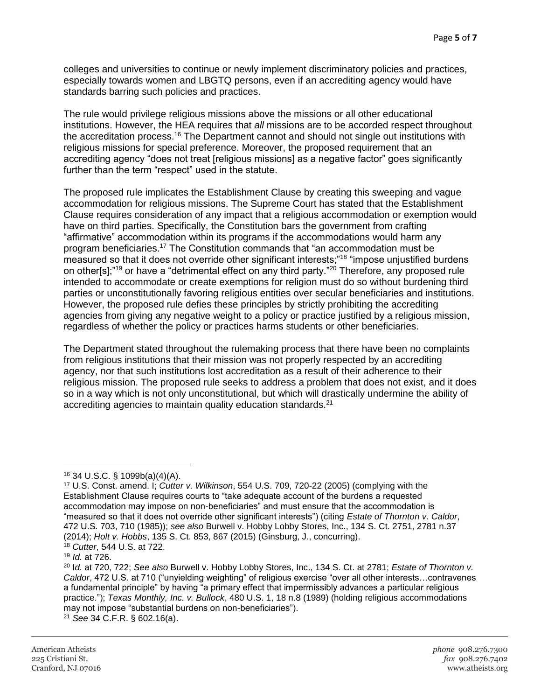colleges and universities to continue or newly implement discriminatory policies and practices, especially towards women and LBGTQ persons, even if an accrediting agency would have standards barring such policies and practices.

The rule would privilege religious missions above the missions or all other educational institutions. However, the HEA requires that *all* missions are to be accorded respect throughout the accreditation process.<sup>16</sup> The Department cannot and should not single out institutions with religious missions for special preference. Moreover, the proposed requirement that an accrediting agency "does not treat [religious missions] as a negative factor" goes significantly further than the term "respect" used in the statute.

The proposed rule implicates the Establishment Clause by creating this sweeping and vague accommodation for religious missions. The Supreme Court has stated that the Establishment Clause requires consideration of any impact that a religious accommodation or exemption would have on third parties. Specifically, the Constitution bars the government from crafting "affirmative" accommodation within its programs if the accommodations would harm any program beneficiaries.<sup>17</sup> The Constitution commands that "an accommodation must be measured so that it does not override other significant interests;"<sup>18</sup> "impose unjustified burdens on other[s];"<sup>19</sup> or have a "detrimental effect on any third party."<sup>20</sup> Therefore, any proposed rule intended to accommodate or create exemptions for religion must do so without burdening third parties or unconstitutionally favoring religious entities over secular beneficiaries and institutions. However, the proposed rule defies these principles by strictly prohibiting the accrediting agencies from giving any negative weight to a policy or practice justified by a religious mission, regardless of whether the policy or practices harms students or other beneficiaries.

The Department stated throughout the rulemaking process that there have been no complaints from religious institutions that their mission was not properly respected by an accrediting agency, nor that such institutions lost accreditation as a result of their adherence to their religious mission. The proposed rule seeks to address a problem that does not exist, and it does so in a way which is not only unconstitutional, but which will drastically undermine the ability of accrediting agencies to maintain quality education standards.<sup>21</sup>

<sup>21</sup> *See* 34 C.F.R. § 602.16(a).

 $\overline{\phantom{a}}$ <sup>16</sup> 34 U.S.C. § 1099b(a)(4)(A).

<sup>17</sup> U.S. Const. amend. I; *Cutter v. Wilkinson*, 554 U.S. 709, 720-22 (2005) (complying with the Establishment Clause requires courts to "take adequate account of the burdens a requested accommodation may impose on non-beneficiaries" and must ensure that the accommodation is "measured so that it does not override other significant interests") (citing *Estate of Thornton v. Caldor*, 472 U.S. 703, 710 (1985)); *see also* Burwell v. Hobby Lobby Stores, Inc., 134 S. Ct. 2751, 2781 n.37 (2014); *Holt v. Hobbs*, 135 S. Ct. 853, 867 (2015) (Ginsburg, J., concurring). <sup>18</sup> *Cutter*, 544 U.S. at 722.

<sup>19</sup> *Id.* at 726.

<sup>20</sup> I*d.* at 720, 722; *See also* Burwell v. Hobby Lobby Stores, Inc., 134 S. Ct. at 2781; *Estate of Thornton v. Caldor*, 472 U.S. at 710 ("unyielding weighting" of religious exercise "over all other interests…contravenes a fundamental principle" by having "a primary effect that impermissibly advances a particular religious practice."); *Texas Monthly, Inc. v. Bullock*, 480 U.S. 1, 18 n.8 (1989) (holding religious accommodations may not impose "substantial burdens on non-beneficiaries").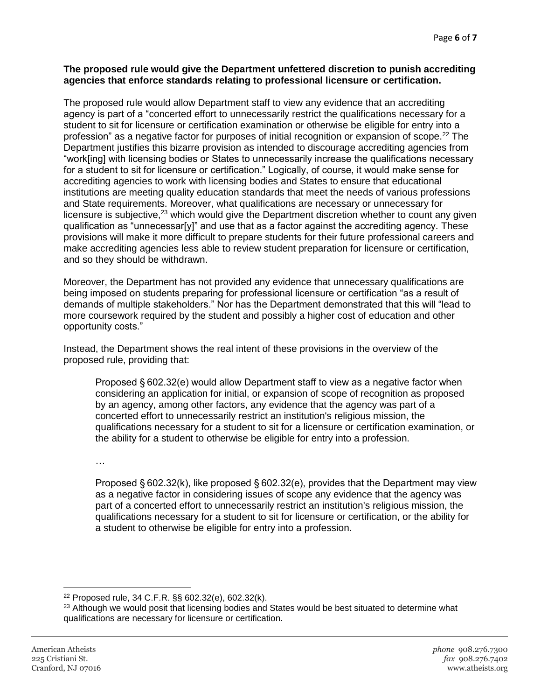## **The proposed rule would give the Department unfettered discretion to punish accrediting agencies that enforce standards relating to professional licensure or certification.**

The proposed rule would allow Department staff to view any evidence that an accrediting agency is part of a "concerted effort to unnecessarily restrict the qualifications necessary for a student to sit for licensure or certification examination or otherwise be eligible for entry into a profession" as a negative factor for purposes of initial recognition or expansion of scope.<sup>22</sup> The Department justifies this bizarre provision as intended to discourage accrediting agencies from "work[ing] with licensing bodies or States to unnecessarily increase the qualifications necessary for a student to sit for licensure or certification." Logically, of course, it would make sense for accrediting agencies to work with licensing bodies and States to ensure that educational institutions are meeting quality education standards that meet the needs of various professions and State requirements. Moreover, what qualifications are necessary or unnecessary for licensure is subjective,<sup>23</sup> which would give the Department discretion whether to count any given qualification as "unnecessar[y]" and use that as a factor against the accrediting agency. These provisions will make it more difficult to prepare students for their future professional careers and make accrediting agencies less able to review student preparation for licensure or certification, and so they should be withdrawn.

Moreover, the Department has not provided any evidence that unnecessary qualifications are being imposed on students preparing for professional licensure or certification "as a result of demands of multiple stakeholders." Nor has the Department demonstrated that this will "lead to more coursework required by the student and possibly a higher cost of education and other opportunity costs."

Instead, the Department shows the real intent of these provisions in the overview of the proposed rule, providing that:

Proposed § 602.32(e) would allow Department staff to view as a negative factor when considering an application for initial, or expansion of scope of recognition as proposed by an agency, among other factors, any evidence that the agency was part of a concerted effort to unnecessarily restrict an institution's religious mission, the qualifications necessary for a student to sit for a licensure or certification examination, or the ability for a student to otherwise be eligible for entry into a profession.

…

Proposed § 602.32(k), like proposed § 602.32(e), provides that the Department may view as a negative factor in considering issues of scope any evidence that the agency was part of a concerted effort to unnecessarily restrict an institution's religious mission, the qualifications necessary for a student to sit for licensure or certification, or the ability for a student to otherwise be eligible for entry into a profession.

 $\overline{a}$ <sup>22</sup> Proposed rule, 34 C.F.R. §§ 602.32(e), 602.32(k).

<sup>&</sup>lt;sup>23</sup> Although we would posit that licensing bodies and States would be best situated to determine what qualifications are necessary for licensure or certification.